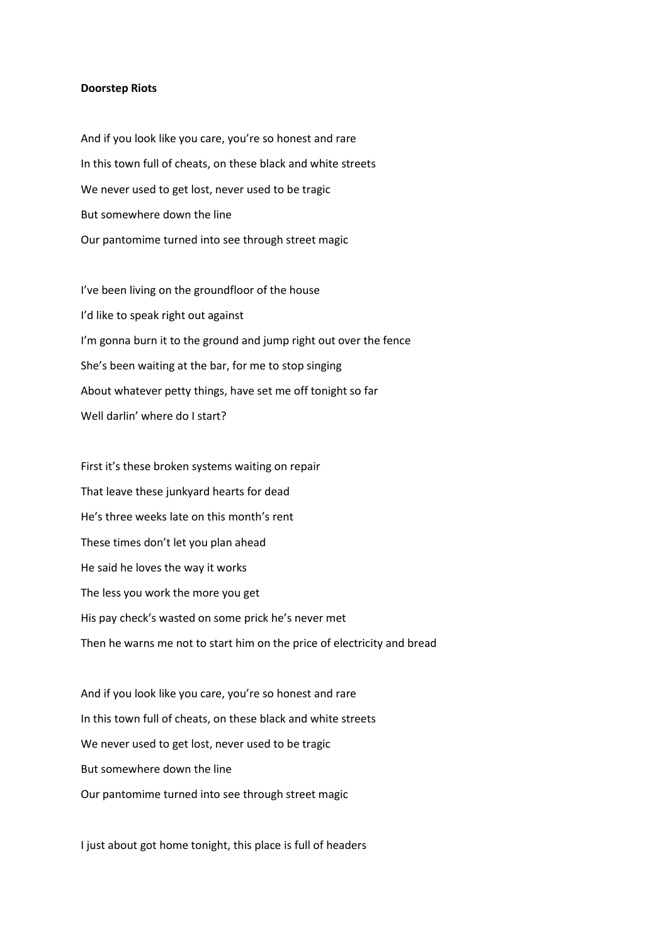## **Doorstep Riots**

And if you look like you care, you're so honest and rare In this town full of cheats, on these black and white streets We never used to get lost, never used to be tragic But somewhere down the line Our pantomime turned into see through street magic

I've been living on the groundfloor of the house I'd like to speak right out against I'm gonna burn it to the ground and jump right out over the fence She's been waiting at the bar, for me to stop singing About whatever petty things, have set me off tonight so far Well darlin' where do I start?

First it's these broken systems waiting on repair That leave these junkyard hearts for dead He's three weeks late on this month's rent These times don't let you plan ahead He said he loves the way it works The less you work the more you get His pay check's wasted on some prick he's never met Then he warns me not to start him on the price of electricity and bread

And if you look like you care, you're so honest and rare In this town full of cheats, on these black and white streets We never used to get lost, never used to be tragic But somewhere down the line Our pantomime turned into see through street magic

I just about got home tonight, this place is full of headers